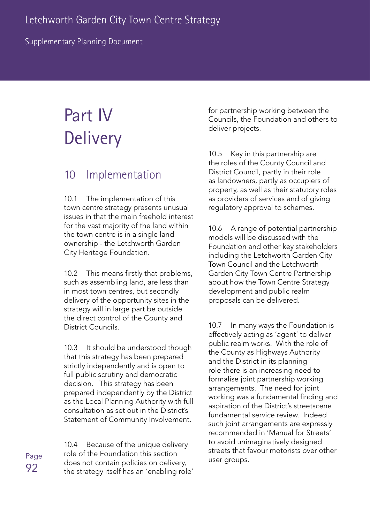Supplementary Planning Document

# Part IV **Delivery**

# 10 Implementation

10.1 The implementation of this town centre strategy presents unusual issues in that the main freehold interest for the vast majority of the land within the town centre is in a single land ownership - the Letchworth Garden City Heritage Foundation.

10.2 This means firstly that problems, such as assembling land, are less than in most town centres, but secondly delivery of the opportunity sites in the strategy will in large part be outside the direct control of the County and District Councils.

10.3 It should be understood though that this strategy has been prepared strictly independently and is open to full public scrutiny and democratic decision. This strategy has been prepared independently by the District as the Local Planning Authority with full consultation as set out in the District's Statement of Community Involvement.

10.4 Because of the unique delivery role of the Foundation this section does not contain policies on delivery, the strategy itself has an 'enabling role' for partnership working between the Councils, the Foundation and others to deliver projects.

10.5 Key in this partnership are the roles of the County Council and District Council, partly in their role as landowners, partly as occupiers of property, as well as their statutory roles as providers of services and of giving regulatory approval to schemes.

10.6 A range of potential partnership models will be discussed with the Foundation and other key stakeholders including the Letchworth Garden City Town Council and the Letchworth Garden City Town Centre Partnership about how the Town Centre Strategy development and public realm proposals can be delivered.

10.7 In many ways the Foundation is effectively acting as 'agent' to deliver public realm works. With the role of the County as Highways Authority and the District in its planning role there is an increasing need to formalise joint partnership working arrangements. The need for joint working was a fundamental finding and aspiration of the District's streetscene fundamental service review. Indeed such joint arrangements are expressly recommended in 'Manual for Streets' to avoid unimaginatively designed streets that favour motorists over other user groups.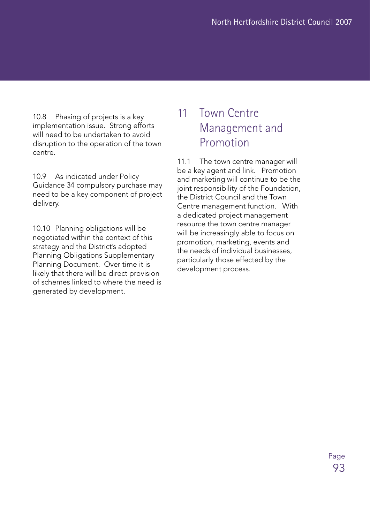10.8 Phasing of projects is a key implementation issue. Strong efforts will need to be undertaken to avoid disruption to the operation of the town centre.

10.9 As indicated under Policy Guidance 34 compulsory purchase may need to be a key component of project delivery.

10.10 Planning obligations will be negotiated within the context of this strategy and the District's adopted Planning Obligations Supplementary Planning Document. Over time it is likely that there will be direct provision of schemes linked to where the need is generated by development.

# 11 Town Centre Management and Promotion

11.1 The town centre manager will be a key agent and link. Promotion and marketing will continue to be the joint responsibility of the Foundation, the District Council and the Town Centre management function. With a dedicated project management resource the town centre manager will be increasingly able to focus on promotion, marketing, events and the needs of individual businesses, particularly those effected by the development process.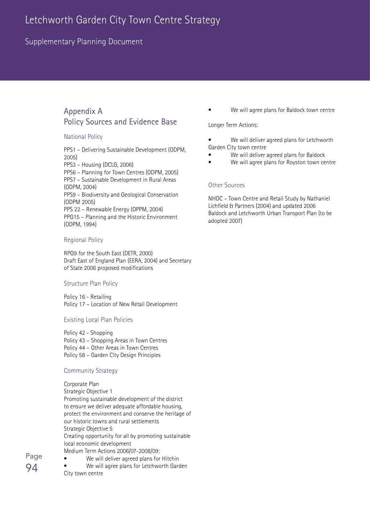### Supplementary Planning Document

### Appendix A Policy Sources and Evidence Base

#### National Policy

PPS1 – Delivering Sustainable Development (ODPM, 2005) PPS3 – Housing (DCLG, 2006) PPS6 – Planning for Town Centres (ODPM, 2005) PPS7 – Sustainable Development in Rural Areas (ODPM, 2004) PPS9 – Biodiversity and Geological Conservation (ODPM 2005) PPS 22 – Renewable Energy (OPPM, 2004) PPG15 – Planning and the Historic Environment

#### Regional Policy

(ODPM, 1994)

RPG9 for the South East (DETR, 2000) Draft East of England Plan (EERA, 2004) and Secretary of State 2006 proposed modifications

#### Structure Plan Policy

Policy 16 - Retailing Policy 17 – Location of New Retail Development

#### Existing Local Plan Policies

Policy 42 - Shopping Policy 43 – Shopping Areas in Town Centres Policy 44 – Other Areas in Town Centres

Policy 58 – Garden City Design Principles

#### Community Strategy

#### Corporate Plan

Strategic Objective 1 Promoting sustainable development of the district to ensure we deliver adequate affordable housing, protect the environment and conserve the heritage of our historic towns and rural settlements Strategic Objective 5 Creating opportunity for all by promoting sustainable local economic development Medium Term Actions 2006/07-2008/09:

- We will deliver agreed plans for Hitchin
- We will agree plans for Letchworth Garden City town centre

We will agree plans for Baldock town centre

Longer Term Actions:

- We will deliver agreed plans for Letchworth Garden City town centre
- We will deliver agreed plans for Baldock
- We will agree plans for Royston town centre

#### Other Sources

NHDC – Town Centre and Retail Study by Nathaniel Lichfield & Partners (2004) and updated 2006 Baldock and Letchworth Urban Transport Plan (to be adopted 2007)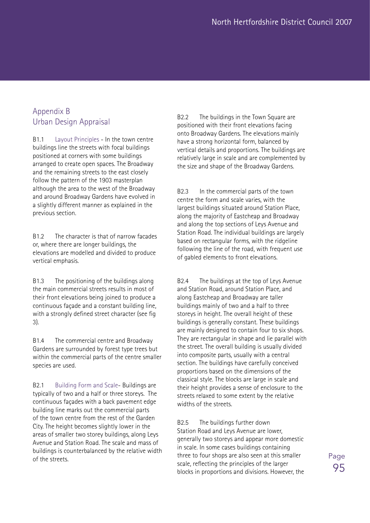### Appendix B Urban Design Appraisal

B1.1 Layout Principles - In the town centre buildings line the streets with focal buildings positioned at corners with some buildings arranged to create open spaces. The Broadway and the remaining streets to the east closely follow the pattern of the 1903 masterplan although the area to the west of the Broadway and around Broadway Gardens have evolved in a slightly different manner as explained in the previous section.

B1.2 The character is that of narrow facades or, where there are longer buildings, the elevations are modelled and divided to produce vertical emphasis.

B1.3 The positioning of the buildings along the main commercial streets results in most of their front elevations being joined to produce a continuous façade and a constant building line, with a strongly defined street character (see fig 3).

B1.4 The commercial centre and Broadway Gardens are surrounded by forest type trees but within the commercial parts of the centre smaller species are used.

B2.1 Building Form and Scale- Buildings are typically of two and a half or three storeys. The continuous façades with a back pavement edge building line marks out the commercial parts of the town centre from the rest of the Garden City. The height becomes slightly lower in the areas of smaller two storey buildings, along Leys Avenue and Station Road. The scale and mass of buildings is counterbalanced by the relative width of the streets.

B2.2 The buildings in the Town Square are positioned with their front elevations facing onto Broadway Gardens. The elevations mainly have a strong horizontal form, balanced by vertical details and proportions. The buildings are relatively large in scale and are complemented by the size and shape of the Broadway Gardens.

B2.3 In the commercial parts of the town centre the form and scale varies, with the largest buildings situated around Station Place, along the majority of Eastcheap and Broadway and along the top sections of Leys Avenue and Station Road. The individual buildings are largely based on rectangular forms, with the ridgeline following the line of the road, with frequent use of gabled elements to front elevations.

B2.4 The buildings at the top of Leys Avenue and Station Road, around Station Place, and along Eastcheap and Broadway are taller buildings mainly of two and a half to three storeys in height. The overall height of these buildings is generally constant. These buildings are mainly designed to contain four to six shops. They are rectangular in shape and lie parallel with the street. The overall building is usually divided into composite parts, usually with a central section. The buildings have carefully conceived proportions based on the dimensions of the classical style. The blocks are large in scale and their height provides a sense of enclosure to the streets relaxed to some extent by the relative widths of the streets.

B2.5 The buildings further down Station Road and Leys Avenue are lower, generally two storeys and appear more domestic in scale. In some cases buildings containing three to four shops are also seen at this smaller scale, reflecting the principles of the larger blocks in proportions and divisions. However, the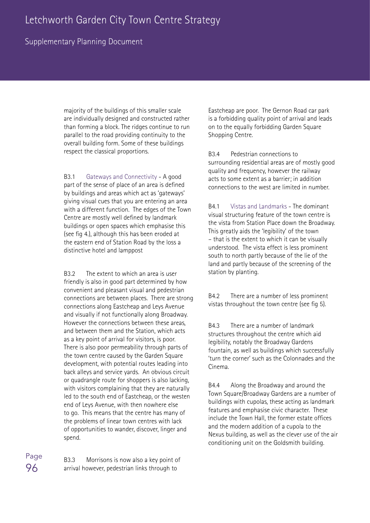### Supplementary Planning Document

majority of the buildings of this smaller scale are individually designed and constructed rather than forming a block. The ridges continue to run parallel to the road providing continuity to the overall building form. Some of these buildings respect the classical proportions.

B3.1 Gateways and Connectivity - A good part of the sense of place of an area is defined by buildings and areas which act as 'gateways' giving visual cues that you are entering an area with a different function. The edges of the Town Centre are mostly well defined by landmark buildings or open spaces which emphasise this (see fig 4.), although this has been eroded at the eastern end of Station Road by the loss a distinctive hotel and lamppost

B3.2 The extent to which an area is user friendly is also in good part determined by how convenient and pleasant visual and pedestrian connections are between places. There are strong connections along Eastcheap and Leys Avenue and visually if not functionally along Broadway. However the connections between these areas, and between them and the Station, which acts as a key point of arrival for visitors, is poor. There is also poor permeability through parts of the town centre caused by the Garden Square development, with potential routes leading into back alleys and service yards. An obvious circuit or quadrangle route for shoppers is also lacking, with visitors complaining that they are naturally led to the south end of Eastcheap, or the westen end of Leys Avenue, with then nowhere else to go. This means that the centre has many of the problems of linear town centres with lack of opportunities to wander, discover, linger and spend.

B3.3 Morrisons is now also a key point of arrival however, pedestrian links through to

Eastcheap are poor. The Gernon Road car park is a forbidding quality point of arrival and leads on to the equally forbidding Garden Square Shopping Centre.

B3.4 Pedestrian connections to surrounding residential areas are of mostly good quality and frequency, however the railway acts to some extent as a barrier; in addition connections to the west are limited in number.

B4.1 Vistas and Landmarks - The dominant visual structuring feature of the town centre is the vista from Station Place down the Broadway. This greatly aids the 'legibility' of the town – that is the extent to which it can be visually understood. The vista effect is less prominent south to north partly because of the lie of the land and partly because of the screening of the station by planting.

B4.2 There are a number of less prominent vistas throughout the town centre (see fig 5).

B4.3 There are a number of landmark structures throughout the centre which aid legibility, notably the Broadway Gardens fountain, as well as buildings which successfully 'turn the corner' such as the Colonnades and the Cinema.

B4.4 Along the Broadway and around the Town Square/Broadway Gardens are a number of buildings with cupolas, these acting as landmark features and emphasise civic character. These include the Town Hall, the former estate offices and the modern addition of a cupola to the Nexus building, as well as the clever use of the air conditioning unit on the Goldsmith building.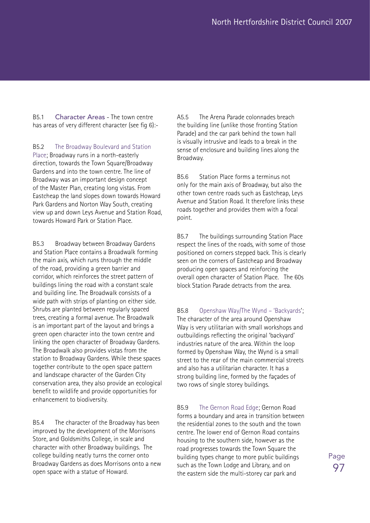B5.1 Character Areas - The town centre has areas of very different character (see fig 6):-

B5.2 The Broadway Boulevard and Station Place; Broadway runs in a north-easterly direction, towards the Town Square/Broadway Gardens and into the town centre. The line of Broadway was an important design concept of the Master Plan, creating long vistas. From Eastcheap the land slopes down towards Howard Park Gardens and Norton Way South, creating view up and down Leys Avenue and Station Road, towards Howard Park or Station Place.

B5.3 Broadway between Broadway Gardens and Station Place contains a Broadwalk forming the main axis, which runs through the middle of the road, providing a green barrier and corridor, which reinforces the street pattern of buildings lining the road with a constant scale and building line. The Broadwalk consists of a wide path with strips of planting on either side. Shrubs are planted between regularly spaced trees, creating a formal avenue. The Broadwalk is an important part of the layout and brings a green open character into the town centre and linking the open character of Broadway Gardens. The Broadwalk also provides vistas from the station to Broadway Gardens. While these spaces together contribute to the open space pattern and landscape character of the Garden City conservation area, they also provide an ecological benefit to wildlife and provide opportunities for enhancement to biodiversity.

B5.4 The character of the Broadway has been improved by the development of the Morrisons Store, and Goldsmiths College, in scale and character with other Broadway buildings. The college building neatly turns the corner onto Broadway Gardens as does Morrisons onto a new open space with a statue of Howard.

A5.5 The Arena Parade colonnades breach the building line (unlike those fronting Station Parade) and the car park behind the town hall is visually intrusive and leads to a break in the sense of enclosure and building lines along the Broadway.

B5.6 Station Place forms a terminus not only for the main axis of Broadway, but also the other town centre roads such as Eastcheap, Leys Avenue and Station Road. It therefore links these roads together and provides them with a focal point.

B5.7 The buildings surrounding Station Place respect the lines of the roads, with some of those positioned on corners stepped back. This is clearly seen on the corners of Eastcheap and Broadway producing open spaces and reinforcing the overall open character of Station Place. The 60s block Station Parade detracts from the area.

B5.8 Openshaw Way/The Wynd – 'Backyards'; The character of the area around Openshaw Way is very utilitarian with small workshops and outbuildings reflecting the original 'backyard' industries nature of the area. Within the loop formed by Openshaw Way, the Wynd is a small street to the rear of the main commercial streets and also has a utilitarian character. It has a strong building line, formed by the façades of two rows of single storey buildings.

B5.9 The Gernon Road Edge; Gernon Road forms a boundary and area in transition between the residential zones to the south and the town centre. The lower end of Gernon Road contains housing to the southern side, however as the road progresses towards the Town Square the building types change to more public buildings such as the Town Lodge and Library, and on the eastern side the multi-storey car park and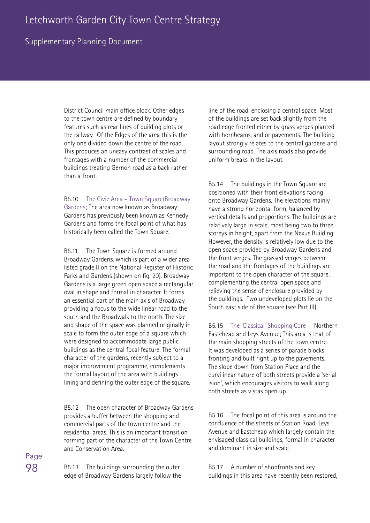### Supplementary Planning Document

District Council main office block. Other edges to the town centre are defined by boundary features such as rear lines of building plots or the railway. Of the Edges of the area this is the only one divided down the centre of the road. This produces an uneasy contrast of scales and frontages with a number of the commercial buildings treating Gernon road as a back rather than a front.

B5.10 The Civic Area – Town Square/Broadway Gardens; The area now known as Broadway Gardens has previously been known as Kennedy Gardens and forms the focal point of what has historically been called the Town Square.

B5.11 The Town Square is formed around Broadway Gardens, which is part of a wider area listed grade II on the National Register of Historic Parks and Gardens (shown on fig. 20). Broadway Gardens is a large green open space a rectangular oval in shape and formal in character. It forms an essential part of the main axis of Broadway, providing a focus to the wide linear road to the south and the Broadwalk to the north. The size and shape of the space was planned originally in scale to form the outer edge of a square which were designed to accommodate large public buildings as the central focal feature. The formal character of the gardens, recently subject to a major improvement programme, complements the formal layout of the area with buildings lining and defining the outer edge of the square.

B5.12 The open character of Broadway Gardens provides a buffer between the shopping and commercial parts of the town centre and the residential areas. This is an important transition forming part of the character of the Town Centre and Conservation Area.

B5.13 The buildings surrounding the outer edge of Broadway Gardens largely follow the line of the road, enclosing a central space. Most of the buildings are set back slightly from the road edge fronted either by grass verges planted with hornbeams, and or pavements. The building layout strongly relates to the central gardens and surrounding road. The axis roads also provide uniform breaks in the layout.

B5.14 The buildings in the Town Square are positioned with their front elevations facing onto Broadway Gardens. The elevations mainly have a strong horizontal form, balanced by vertical details and proportions. The buildings are relatively large in scale, most being two to three storeys in height, apart from the Nexus Building. However, the density is relatively low due to the open space provided by Broadway Gardens and the front verges. The grassed verges between the road and the frontages of the buildings are important to the open character of the square, complementing the central open space and relieving the sense of enclosure provided by the buildings. Two undeveloped plots lie on the South east side of the square (see Part III).

B5.15 The 'Classical' Shopping Core – Northern Eastcheap and Leys Avenue; This area is that of the main shopping streets of the town centre. It was developed as a series of parade blocks fronting and built right up to the pavements. The slope down from Station Place and the curvilinear nature of both streets provide a 'serial ision', which encourages visitors to walk along both streets as vistas open up.

B5.16 The focal point of this area is around the confluence of the streets of Station Road, Leys Avenue and Eastcheap which largely contain the envisaged classical buildings, formal in character and dominant in size and scale.

B5.17 A number of shopfronts and key buildings in this area have recently been restored,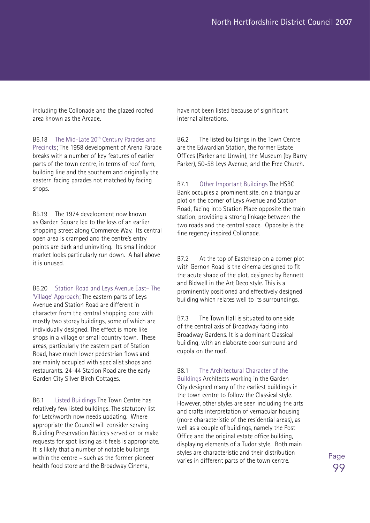including the Collonade and the glazed roofed area known as the Arcade.

B5.18 The Mid-Late 20<sup>th</sup> Century Parades and Precincts; The 1958 development of Arena Parade breaks with a number of key features of earlier parts of the town centre, in terms of roof form, building line and the southern and originally the eastern facing parades not matched by facing shops.

B5.19 The 1974 development now known as Garden Square led to the loss of an earlier shopping street along Commerce Way. Its central open area is cramped and the centre's entry points are dark and uninviting. Its small indoor market looks particularly run down. A hall above it is unused.

B5.20 Station Road and Leys Avenue East– The 'Village' Approach; The eastern parts of Leys Avenue and Station Road are different in character from the central shopping core with mostly two storey buildings, some of which are individually designed. The effect is more like shops in a village or small country town. These areas, particularly the eastern part of Station Road, have much lower pedestrian flows and are mainly occupied with specialist shops and restaurants. 24-44 Station Road are the early Garden City Silver Birch Cottages.

B6.1 Listed Buildings The Town Centre has relatively few listed buildings. The statutory list for Letchworth now needs updating. Where appropriate the Council will consider serving Building Preservation Notices served on or make requests for spot listing as it feels is appropriate. It is likely that a number of notable buildings within the centre – such as the former pioneer health food store and the Broadway Cinema,

have not been listed because of significant internal alterations.

B6.2 The listed buildings in the Town Centre are the Edwardian Station, the former Estate Offices (Parker and Unwin), the Museum (by Barry Parker), 50-58 Leys Avenue, and the Free Church.

B7.1 Other Important Buildings The HSBC Bank occupies a prominent site, on a triangular plot on the corner of Leys Avenue and Station Road, facing into Station Place opposite the train station, providing a strong linkage between the two roads and the central space. Opposite is the fine regency inspired Collonade.

B7.2 At the top of Eastcheap on a corner plot with Gernon Road is the cinema designed to fit the acute shape of the plot, designed by Bennett and Bidwell in the Art Deco style. This is a prominently positioned and effectively designed building which relates well to its surroundings.

B7.3 The Town Hall is situated to one side of the central axis of Broadway facing into Broadway Gardens. It is a dominant Classical building, with an elaborate door surround and cupola on the roof.

B8.1 The Architectural Character of the Buildings Architects working in the Garden

City designed many of the earliest buildings in the town centre to follow the Classical style. However, other styles are seen including the arts and crafts interpretation of vernacular housing (more characteristic of the residential areas), as well as a couple of buildings, namely the Post Office and the original estate office building, displaying elements of a Tudor style. Both main styles are characteristic and their distribution varies in different parts of the town centre.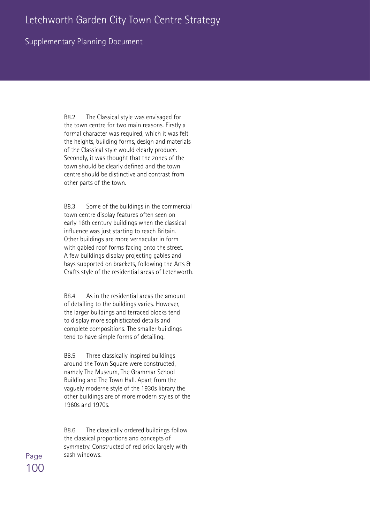### Supplementary Planning Document

B8.2 The Classical style was envisaged for the town centre for two main reasons. Firstly a formal character was required, which it was felt the heights, building forms, design and materials of the Classical style would clearly produce. Secondly, it was thought that the zones of the town should be clearly defined and the town centre should be distinctive and contrast from other parts of the town.

B8.3 Some of the buildings in the commercial town centre display features often seen on early 16th century buildings when the classical influence was just starting to reach Britain. Other buildings are more vernacular in form with gabled roof forms facing onto the street. A few buildings display projecting gables and bays supported on brackets, following the Arts & Crafts style of the residential areas of Letchworth.

B8.4 As in the residential areas the amount of detailing to the buildings varies. However, the larger buildings and terraced blocks tend to display more sophisticated details and complete compositions. The smaller buildings tend to have simple forms of detailing.

B8.5 Three classically inspired buildings around the Town Square were constructed, namely The Museum, The Grammar School Building and The Town Hall. Apart from the vaguely moderne style of the 1930s library the other buildings are of more modern styles of the 1960s and 1970s.

B8.6 The classically ordered buildings follow the classical proportions and concepts of symmetry. Constructed of red brick largely with sash windows.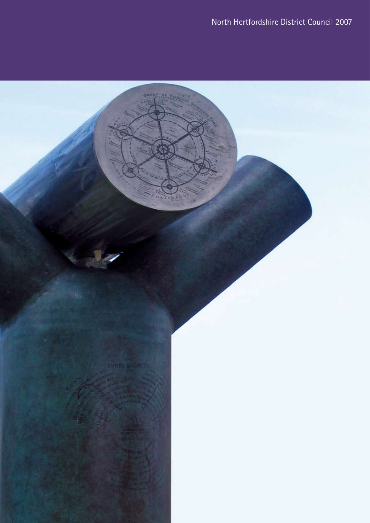